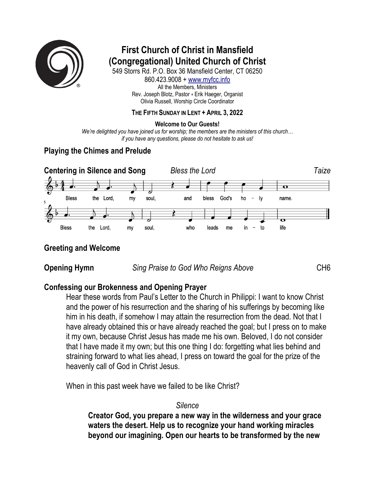

# **First Church of Christ in Mansfield (Congregational) United Church of Christ**

549 Storrs Rd. P.O. Box 36 Mansfield Center, CT 06250 860.423.9008 + www.myfcc.info All the Members, Ministers Rev. Joseph Blotz, Pastor + Erik Haeger, Organist Olivia Russell, Worship Circle Coordinator

#### **THE FIFTH SUNDAY IN LENT + APRIL 3, 2022**

#### **Welcome to Our Guests!**

*We're delighted you have joined us for worship; the members are the ministers of this church… if you have any questions, please do not hesitate to ask us!*

### **Playing the Chimes and Prelude**



#### **Greeting and Welcome**

**Opening Hymn** *Sing Praise to God Who Reigns Above* CH6

#### **Confessing our Brokenness and Opening Prayer**

Hear these words from Paul's Letter to the Church in Philippi: I want to know Christ and the power of his resurrection and the sharing of his sufferings by becoming like him in his death, if somehow I may attain the resurrection from the dead. Not that I have already obtained this or have already reached the goal; but I press on to make it my own, because Christ Jesus has made me his own. Beloved, I do not consider that I have made it my own; but this one thing I do: forgetting what lies behind and straining forward to what lies ahead, I press on toward the goal for the prize of the heavenly call of God in Christ Jesus.

When in this past week have we failed to be like Christ?

#### *Silence*

**Creator God, you prepare a new way in the wilderness and your grace waters the desert. Help us to recognize your hand working miracles beyond our imagining. Open our hearts to be transformed by the new**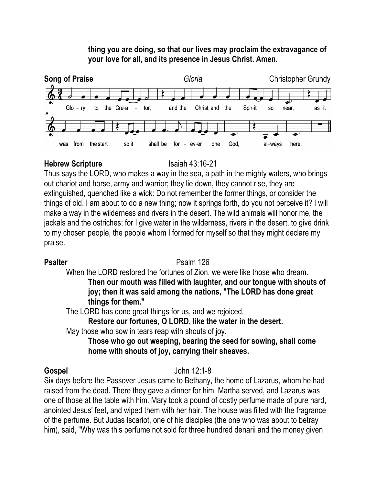### **thing you are doing, so that our lives may proclaim the extravagance of your love for all, and its presence in Jesus Christ. Amen.**



#### **Hebrew Scripture** Isaiah 43:16-21

Thus says the LORD, who makes a way in the sea, a path in the mighty waters, who brings out chariot and horse, army and warrior; they lie down, they cannot rise, they are extinguished, quenched like a wick: Do not remember the former things, or consider the things of old. I am about to do a new thing; now it springs forth, do you not perceive it? I will make a way in the wilderness and rivers in the desert. The wild animals will honor me, the jackals and the ostriches; for I give water in the wilderness, rivers in the desert, to give drink to my chosen people, the people whom I formed for myself so that they might declare my praise.

#### **Psalter** Psalm 126

When the LORD restored the fortunes of Zion, we were like those who dream. **Then our mouth was filled with laughter, and our tongue with shouts of joy; then it was said among the nations, "The LORD has done great things for them."**

The LORD has done great things for us, and we rejoiced.

**Restore our fortunes, O LORD, like the water in the desert.**

May those who sow in tears reap with shouts of joy.

**Those who go out weeping, bearing the seed for sowing, shall come home with shouts of joy, carrying their sheaves.**

# **Gospel** John 12:1-8

Six days before the Passover Jesus came to Bethany, the home of Lazarus, whom he had raised from the dead. There they gave a dinner for him. Martha served, and Lazarus was one of those at the table with him. Mary took a pound of costly perfume made of pure nard, anointed Jesus' feet, and wiped them with her hair. The house was filled with the fragrance of the perfume. But Judas Iscariot, one of his disciples (the one who was about to betray him), said, "Why was this perfume not sold for three hundred denarii and the money given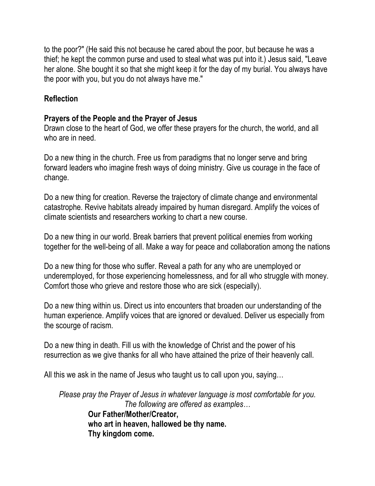to the poor?" (He said this not because he cared about the poor, but because he was a thief; he kept the common purse and used to steal what was put into it.) Jesus said, "Leave her alone. She bought it so that she might keep it for the day of my burial. You always have the poor with you, but you do not always have me."

# **Reflection**

# **Prayers of the People and the Prayer of Jesus**

Drawn close to the heart of God, we offer these prayers for the church, the world, and all who are in need.

Do a new thing in the church. Free us from paradigms that no longer serve and bring forward leaders who imagine fresh ways of doing ministry. Give us courage in the face of change.

Do a new thing for creation. Reverse the trajectory of climate change and environmental catastrophe. Revive habitats already impaired by human disregard. Amplify the voices of climate scientists and researchers working to chart a new course.

Do a new thing in our world. Break barriers that prevent political enemies from working together for the well-being of all. Make a way for peace and collaboration among the nations

Do a new thing for those who suffer. Reveal a path for any who are unemployed or underemployed, for those experiencing homelessness, and for all who struggle with money. Comfort those who grieve and restore those who are sick (especially).

Do a new thing within us. Direct us into encounters that broaden our understanding of the human experience. Amplify voices that are ignored or devalued. Deliver us especially from the scourge of racism.

Do a new thing in death. Fill us with the knowledge of Christ and the power of his resurrection as we give thanks for all who have attained the prize of their heavenly call.

All this we ask in the name of Jesus who taught us to call upon you, saying…

*Please pray the Prayer of Jesus in whatever language is most comfortable for you. The following are offered as examples…* **Our Father/Mother/Creator, who art in heaven, hallowed be thy name. Thy kingdom come.**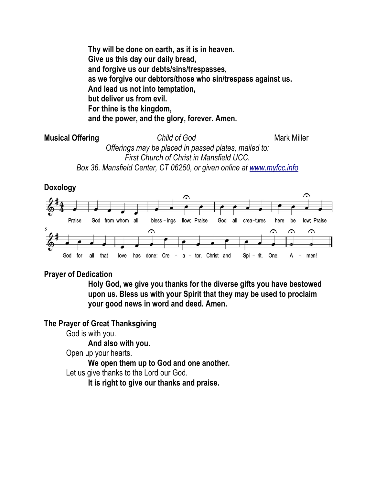**Thy will be done on earth, as it is in heaven. Give us this day our daily bread, and forgive us our debts/sins/trespasses, as we forgive our debtors/those who sin/trespass against us. And lead us not into temptation, but deliver us from evil. For thine is the kingdom, and the power, and the glory, forever. Amen.**

**Musical Offering** *Child of God* **Mark Miller** *Offerings may be placed in passed plates, mailed to: First Church of Christ in Mansfield UCC. Box 36. Mansfield Center, CT 06250, or given online at www.myfcc.info*

**Doxology**



### **Prayer of Dedication**

**Holy God, we give you thanks for the diverse gifts you have bestowed upon us. Bless us with your Spirit that they may be used to proclaim your good news in word and deed. Amen.**

#### **The Prayer of Great Thanksgiving**

God is with you.

**And also with you.**

Open up your hearts.

**We open them up to God and one another.**

Let us give thanks to the Lord our God.

**It is right to give our thanks and praise.**